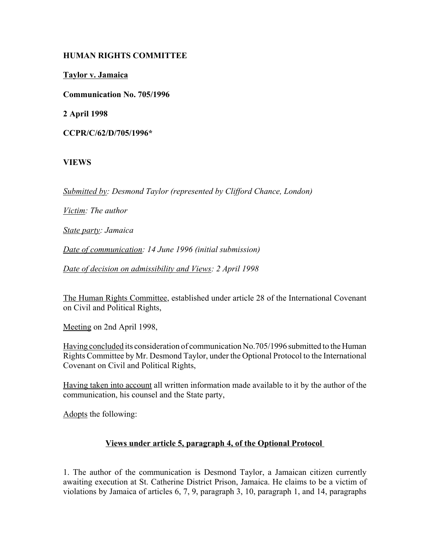# **HUMAN RIGHTS COMMITTEE**

**Taylor v. Jamaica**

**Communication No. 705/1996**

**2 April 1998**

**CCPR/C/62/D/705/1996\***

## **VIEWS**

*Submitted by: Desmond Taylor (represented by Clifford Chance, London)* 

*Victim: The author* 

*State party: Jamaica* 

*Date of communication: 14 June 1996 (initial submission)* 

*Date of decision on admissibility and Views: 2 April 1998* 

The Human Rights Committee, established under article 28 of the International Covenant on Civil and Political Rights,

Meeting on 2nd April 1998,

Having concluded its consideration of communication No.705/1996 submitted to the Human Rights Committee by Mr. Desmond Taylor, under the Optional Protocol to the International Covenant on Civil and Political Rights,

Having taken into account all written information made available to it by the author of the communication, his counsel and the State party,

Adopts the following:

#### **Views under article 5, paragraph 4, of the Optional Protocol**

1. The author of the communication is Desmond Taylor, a Jamaican citizen currently awaiting execution at St. Catherine District Prison, Jamaica. He claims to be a victim of violations by Jamaica of articles 6, 7, 9, paragraph 3, 10, paragraph 1, and 14, paragraphs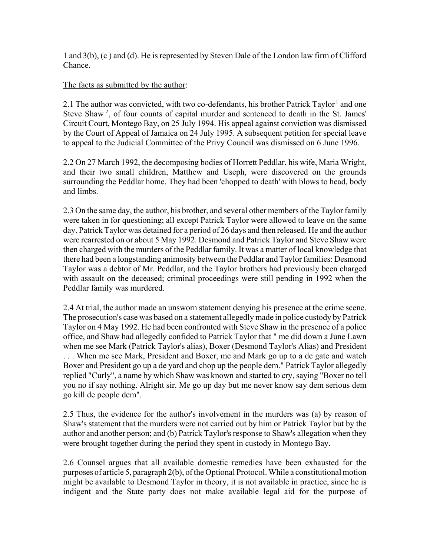1 and 3(b), (c ) and (d). He is represented by Steven Dale of the London law firm of Clifford **Chance** 

## The facts as submitted by the author:

2.1 The author was convicted, with two co-defendants, his brother Patrick Taylor<sup>1</sup> and one Steve Shaw<sup>2</sup>, of four counts of capital murder and sentenced to death in the St. James' Circuit Court, Montego Bay, on 25 July 1994. His appeal against conviction was dismissed by the Court of Appeal of Jamaica on 24 July 1995. A subsequent petition for special leave to appeal to the Judicial Committee of the Privy Council was dismissed on 6 June 1996.

2.2 On 27 March 1992, the decomposing bodies of Horrett Peddlar, his wife, Maria Wright, and their two small children, Matthew and Useph, were discovered on the grounds surrounding the Peddlar home. They had been 'chopped to death' with blows to head, body and limbs.

2.3 On the same day, the author, his brother, and several other members of the Taylor family were taken in for questioning; all except Patrick Taylor were allowed to leave on the same day. Patrick Taylor was detained for a period of 26 days and then released. He and the author were rearrested on or about 5 May 1992. Desmond and Patrick Taylor and Steve Shaw were then charged with the murders of the Peddlar family. It was a matter of local knowledge that there had been a longstanding animosity between the Peddlar and Taylor families: Desmond Taylor was a debtor of Mr. Peddlar, and the Taylor brothers had previously been charged with assault on the deceased; criminal proceedings were still pending in 1992 when the Peddlar family was murdered.

2.4 At trial, the author made an unsworn statement denying his presence at the crime scene. The prosecution's case was based on a statement allegedly made in police custody by Patrick Taylor on 4 May 1992. He had been confronted with Steve Shaw in the presence of a police office, and Shaw had allegedly confided to Patrick Taylor that " me did down a June Lawn when me see Mark (Patrick Taylor's alias), Boxer (Desmond Taylor's Alias) and President . . . When me see Mark, President and Boxer, me and Mark go up to a de gate and watch Boxer and President go up a de yard and chop up the people dem." Patrick Taylor allegedly replied "Curly", a name by which Shaw was known and started to cry, saying "Boxer no tell you no if say nothing. Alright sir. Me go up day but me never know say dem serious dem go kill de people dem".

2.5 Thus, the evidence for the author's involvement in the murders was (a) by reason of Shaw's statement that the murders were not carried out by him or Patrick Taylor but by the author and another person; and (b) Patrick Taylor's response to Shaw's allegation when they were brought together during the period they spent in custody in Montego Bay.

2.6 Counsel argues that all available domestic remedies have been exhausted for the purposes of article 5, paragraph 2(b), of the Optional Protocol. While a constitutional motion might be available to Desmond Taylor in theory, it is not available in practice, since he is indigent and the State party does not make available legal aid for the purpose of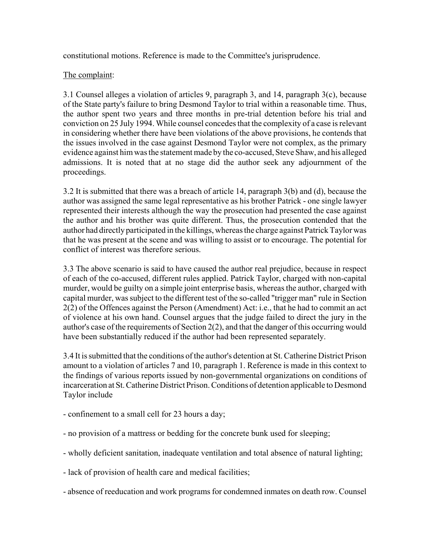constitutional motions. Reference is made to the Committee's jurisprudence.

## The complaint:

3.1 Counsel alleges a violation of articles 9, paragraph 3, and 14, paragraph 3(c), because of the State party's failure to bring Desmond Taylor to trial within a reasonable time. Thus, the author spent two years and three months in pre-trial detention before his trial and conviction on 25 July 1994. While counsel concedes that the complexity of a case is relevant in considering whether there have been violations of the above provisions, he contends that the issues involved in the case against Desmond Taylor were not complex, as the primary evidence against him was the statement made by the co-accused, Steve Shaw, and his alleged admissions. It is noted that at no stage did the author seek any adjournment of the proceedings.

3.2 It is submitted that there was a breach of article 14, paragraph 3(b) and (d), because the author was assigned the same legal representative as his brother Patrick - one single lawyer represented their interests although the way the prosecution had presented the case against the author and his brother was quite different. Thus, the prosecution contended that the author had directly participated in the killings, whereas the charge against Patrick Taylor was that he was present at the scene and was willing to assist or to encourage. The potential for conflict of interest was therefore serious.

3.3 The above scenario is said to have caused the author real prejudice, because in respect of each of the co-accused, different rules applied. Patrick Taylor, charged with non-capital murder, would be guilty on a simple joint enterprise basis, whereas the author, charged with capital murder, was subject to the different test of the so-called "trigger man" rule in Section 2(2) of the Offences against the Person (Amendment) Act: i.e., that he had to commit an act of violence at his own hand. Counsel argues that the judge failed to direct the jury in the author's case of the requirements of Section 2(2), and that the danger of this occurring would have been substantially reduced if the author had been represented separately.

3.4 It is submitted that the conditions of the author's detention at St. Catherine District Prison amount to a violation of articles 7 and 10, paragraph 1. Reference is made in this context to the findings of various reports issued by non-governmental organizations on conditions of incarceration at St. Catherine District Prison. Conditions of detention applicable to Desmond Taylor include

- confinement to a small cell for 23 hours a day;
- no provision of a mattress or bedding for the concrete bunk used for sleeping;
- wholly deficient sanitation, inadequate ventilation and total absence of natural lighting;
- lack of provision of health care and medical facilities;
- absence of reeducation and work programs for condemned inmates on death row. Counsel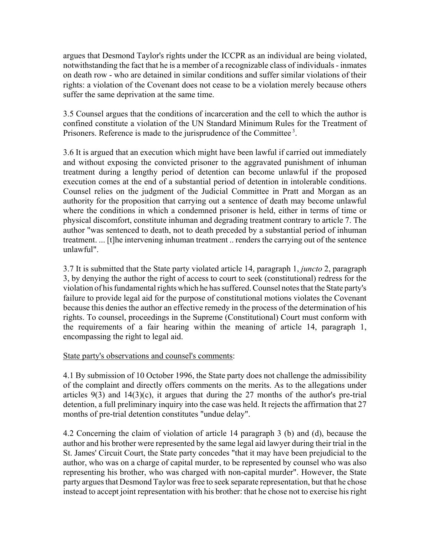argues that Desmond Taylor's rights under the ICCPR as an individual are being violated, notwithstanding the fact that he is a member of a recognizable class of individuals - inmates on death row - who are detained in similar conditions and suffer similar violations of their rights: a violation of the Covenant does not cease to be a violation merely because others suffer the same deprivation at the same time.

3.5 Counsel argues that the conditions of incarceration and the cell to which the author is confined constitute a violation of the UN Standard Minimum Rules for the Treatment of Prisoners. Reference is made to the jurisprudence of the Committee<sup>3</sup>.

3.6 It is argued that an execution which might have been lawful if carried out immediately and without exposing the convicted prisoner to the aggravated punishment of inhuman treatment during a lengthy period of detention can become unlawful if the proposed execution comes at the end of a substantial period of detention in intolerable conditions. Counsel relies on the judgment of the Judicial Committee in Pratt and Morgan as an authority for the proposition that carrying out a sentence of death may become unlawful where the conditions in which a condemned prisoner is held, either in terms of time or physical discomfort, constitute inhuman and degrading treatment contrary to article 7. The author "was sentenced to death, not to death preceded by a substantial period of inhuman treatment. ... [t]he intervening inhuman treatment .. renders the carrying out of the sentence unlawful".

3.7 It is submitted that the State party violated article 14, paragraph 1, *juncto* 2, paragraph 3, by denying the author the right of access to court to seek (constitutional) redress for the violation of his fundamental rights which he has suffered. Counsel notes that the State party's failure to provide legal aid for the purpose of constitutional motions violates the Covenant because this denies the author an effective remedy in the process of the determination of his rights. To counsel, proceedings in the Supreme (Constitutional) Court must conform with the requirements of a fair hearing within the meaning of article 14, paragraph 1, encompassing the right to legal aid.

#### State party's observations and counsel's comments:

4.1 By submission of 10 October 1996, the State party does not challenge the admissibility of the complaint and directly offers comments on the merits. As to the allegations under articles  $9(3)$  and  $14(3)(c)$ , it argues that during the 27 months of the author's pre-trial detention, a full preliminary inquiry into the case was held. It rejects the affirmation that 27 months of pre-trial detention constitutes "undue delay".

4.2 Concerning the claim of violation of article 14 paragraph 3 (b) and (d), because the author and his brother were represented by the same legal aid lawyer during their trial in the St. James' Circuit Court, the State party concedes "that it may have been prejudicial to the author, who was on a charge of capital murder, to be represented by counsel who was also representing his brother, who was charged with non-capital murder". However, the State party argues that Desmond Taylor was free to seek separate representation, but that he chose instead to accept joint representation with his brother: that he chose not to exercise his right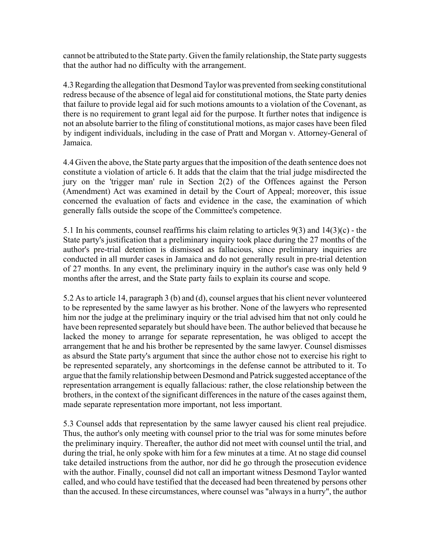cannot be attributed to the State party. Given the family relationship, the State party suggests that the author had no difficulty with the arrangement.

4.3 Regarding the allegation that Desmond Taylor was prevented from seeking constitutional redress because of the absence of legal aid for constitutional motions, the State party denies that failure to provide legal aid for such motions amounts to a violation of the Covenant, as there is no requirement to grant legal aid for the purpose. It further notes that indigence is not an absolute barrier to the filing of constitutional motions, as major cases have been filed by indigent individuals, including in the case of Pratt and Morgan v. Attorney-General of Jamaica.

4.4 Given the above, the State party argues that the imposition of the death sentence does not constitute a violation of article 6. It adds that the claim that the trial judge misdirected the jury on the 'trigger man' rule in Section 2(2) of the Offences against the Person (Amendment) Act was examined in detail by the Court of Appeal; moreover, this issue concerned the evaluation of facts and evidence in the case, the examination of which generally falls outside the scope of the Committee's competence.

5.1 In his comments, counsel reaffirms his claim relating to articles 9(3) and 14(3)(c) - the State party's justification that a preliminary inquiry took place during the 27 months of the author's pre-trial detention is dismissed as fallacious, since preliminary inquiries are conducted in all murder cases in Jamaica and do not generally result in pre-trial detention of 27 months. In any event, the preliminary inquiry in the author's case was only held 9 months after the arrest, and the State party fails to explain its course and scope.

5.2 As to article 14, paragraph 3 (b) and (d), counsel argues that his client never volunteered to be represented by the same lawyer as his brother. None of the lawyers who represented him nor the judge at the preliminary inquiry or the trial advised him that not only could he have been represented separately but should have been. The author believed that because he lacked the money to arrange for separate representation, he was obliged to accept the arrangement that he and his brother be represented by the same lawyer. Counsel dismisses as absurd the State party's argument that since the author chose not to exercise his right to be represented separately, any shortcomings in the defense cannot be attributed to it. To argue that the family relationship between Desmond and Patrick suggested acceptance of the representation arrangement is equally fallacious: rather, the close relationship between the brothers, in the context of the significant differences in the nature of the cases against them, made separate representation more important, not less important.

5.3 Counsel adds that representation by the same lawyer caused his client real prejudice. Thus, the author's only meeting with counsel prior to the trial was for some minutes before the preliminary inquiry. Thereafter, the author did not meet with counsel until the trial, and during the trial, he only spoke with him for a few minutes at a time. At no stage did counsel take detailed instructions from the author, nor did he go through the prosecution evidence with the author. Finally, counsel did not call an important witness Desmond Taylor wanted called, and who could have testified that the deceased had been threatened by persons other than the accused. In these circumstances, where counsel was "always in a hurry", the author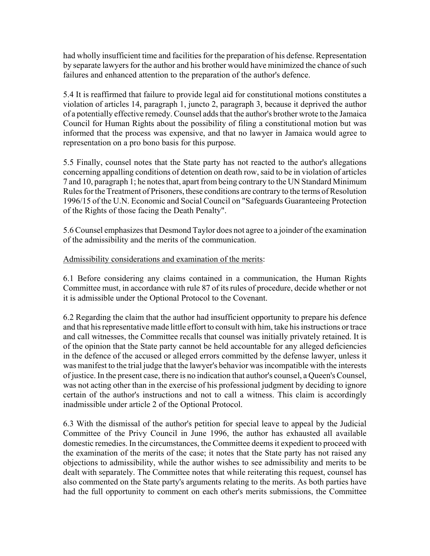had wholly insufficient time and facilities for the preparation of his defense. Representation by separate lawyers for the author and his brother would have minimized the chance of such failures and enhanced attention to the preparation of the author's defence.

5.4 It is reaffirmed that failure to provide legal aid for constitutional motions constitutes a violation of articles 14, paragraph 1, juncto 2, paragraph 3, because it deprived the author of a potentially effective remedy. Counsel adds that the author's brother wrote to the Jamaica Council for Human Rights about the possibility of filing a constitutional motion but was informed that the process was expensive, and that no lawyer in Jamaica would agree to representation on a pro bono basis for this purpose.

5.5 Finally, counsel notes that the State party has not reacted to the author's allegations concerning appalling conditions of detention on death row, said to be in violation of articles 7 and 10, paragraph 1; he notes that, apart from being contrary to the UN Standard Minimum Rules for the Treatment of Prisoners, these conditions are contrary to the terms of Resolution 1996/15 of the U.N. Economic and Social Council on "Safeguards Guaranteeing Protection of the Rights of those facing the Death Penalty".

5.6 Counsel emphasizes that Desmond Taylor does not agree to a joinder of the examination of the admissibility and the merits of the communication.

## Admissibility considerations and examination of the merits:

6.1 Before considering any claims contained in a communication, the Human Rights Committee must, in accordance with rule 87 of its rules of procedure, decide whether or not it is admissible under the Optional Protocol to the Covenant.

6.2 Regarding the claim that the author had insufficient opportunity to prepare his defence and that his representative made little effort to consult with him, take his instructions or trace and call witnesses, the Committee recalls that counsel was initially privately retained. It is of the opinion that the State party cannot be held accountable for any alleged deficiencies in the defence of the accused or alleged errors committed by the defense lawyer, unless it was manifest to the trial judge that the lawyer's behavior was incompatible with the interests of justice. In the present case, there is no indication that author's counsel, a Queen's Counsel, was not acting other than in the exercise of his professional judgment by deciding to ignore certain of the author's instructions and not to call a witness. This claim is accordingly inadmissible under article 2 of the Optional Protocol.

6.3 With the dismissal of the author's petition for special leave to appeal by the Judicial Committee of the Privy Council in June 1996, the author has exhausted all available domestic remedies. In the circumstances, the Committee deems it expedient to proceed with the examination of the merits of the case; it notes that the State party has not raised any objections to admissibility, while the author wishes to see admissibility and merits to be dealt with separately. The Committee notes that while reiterating this request, counsel has also commented on the State party's arguments relating to the merits. As both parties have had the full opportunity to comment on each other's merits submissions, the Committee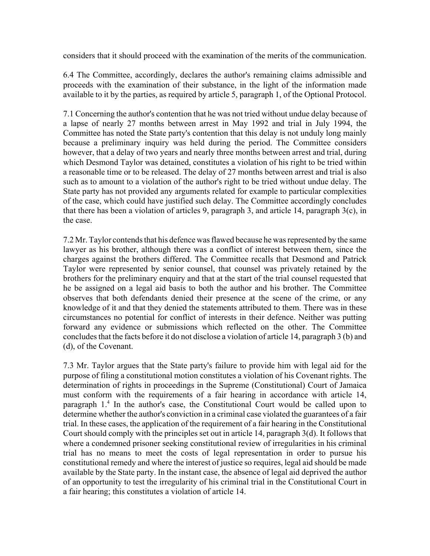considers that it should proceed with the examination of the merits of the communication.

6.4 The Committee, accordingly, declares the author's remaining claims admissible and proceeds with the examination of their substance, in the light of the information made available to it by the parties, as required by article 5, paragraph 1, of the Optional Protocol.

7.1 Concerning the author's contention that he was not tried without undue delay because of a lapse of nearly 27 months between arrest in May 1992 and trial in July 1994, the Committee has noted the State party's contention that this delay is not unduly long mainly because a preliminary inquiry was held during the period. The Committee considers however, that a delay of two years and nearly three months between arrest and trial, during which Desmond Taylor was detained, constitutes a violation of his right to be tried within a reasonable time or to be released. The delay of 27 months between arrest and trial is also such as to amount to a violation of the author's right to be tried without undue delay. The State party has not provided any arguments related for example to particular complexities of the case, which could have justified such delay. The Committee accordingly concludes that there has been a violation of articles 9, paragraph 3, and article 14, paragraph 3(c), in the case.

7.2 Mr. Taylor contends that his defence was flawed because he was represented by the same lawyer as his brother, although there was a conflict of interest between them, since the charges against the brothers differed. The Committee recalls that Desmond and Patrick Taylor were represented by senior counsel, that counsel was privately retained by the brothers for the preliminary enquiry and that at the start of the trial counsel requested that he be assigned on a legal aid basis to both the author and his brother. The Committee observes that both defendants denied their presence at the scene of the crime, or any knowledge of it and that they denied the statements attributed to them. There was in these circumstances no potential for conflict of interests in their defence. Neither was putting forward any evidence or submissions which reflected on the other. The Committee concludes that the facts before it do not disclose a violation of article 14, paragraph 3 (b) and (d), of the Covenant.

7.3 Mr. Taylor argues that the State party's failure to provide him with legal aid for the purpose of filing a constitutional motion constitutes a violation of his Covenant rights. The determination of rights in proceedings in the Supreme (Constitutional) Court of Jamaica must conform with the requirements of a fair hearing in accordance with article 14, paragraph 1.<sup>4</sup> In the author's case, the Constitutional Court would be called upon to determine whether the author's conviction in a criminal case violated the guarantees of a fair trial. In these cases, the application of the requirement of a fair hearing in the Constitutional Court should comply with the principles set out in article 14, paragraph 3(d). It follows that where a condemned prisoner seeking constitutional review of irregularities in his criminal trial has no means to meet the costs of legal representation in order to pursue his constitutional remedy and where the interest of justice so requires, legal aid should be made available by the State party. In the instant case, the absence of legal aid deprived the author of an opportunity to test the irregularity of his criminal trial in the Constitutional Court in a fair hearing; this constitutes a violation of article 14.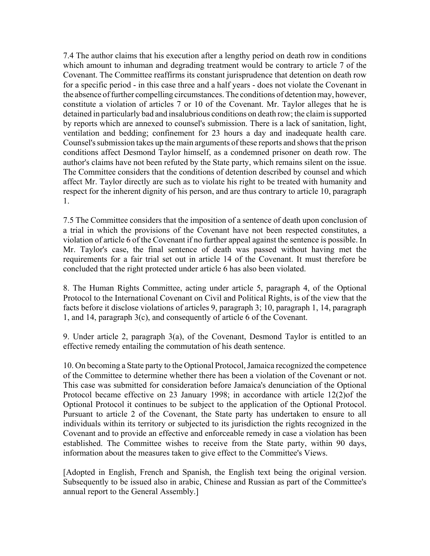7.4 The author claims that his execution after a lengthy period on death row in conditions which amount to inhuman and degrading treatment would be contrary to article 7 of the Covenant. The Committee reaffirms its constant jurisprudence that detention on death row for a specific period - in this case three and a half years - does not violate the Covenant in the absence of further compelling circumstances. The conditions of detention may, however, constitute a violation of articles 7 or 10 of the Covenant. Mr. Taylor alleges that he is detained in particularly bad and insalubrious conditions on death row; the claim is supported by reports which are annexed to counsel's submission. There is a lack of sanitation, light, ventilation and bedding; confinement for 23 hours a day and inadequate health care. Counsel's submission takes up the main arguments of these reports and shows that the prison conditions affect Desmond Taylor himself, as a condemned prisoner on death row. The author's claims have not been refuted by the State party, which remains silent on the issue. The Committee considers that the conditions of detention described by counsel and which affect Mr. Taylor directly are such as to violate his right to be treated with humanity and respect for the inherent dignity of his person, and are thus contrary to article 10, paragraph 1.

7.5 The Committee considers that the imposition of a sentence of death upon conclusion of a trial in which the provisions of the Covenant have not been respected constitutes, a violation of article 6 of the Covenant if no further appeal against the sentence is possible. In Mr. Taylor's case, the final sentence of death was passed without having met the requirements for a fair trial set out in article 14 of the Covenant. It must therefore be concluded that the right protected under article 6 has also been violated.

8. The Human Rights Committee, acting under article 5, paragraph 4, of the Optional Protocol to the International Covenant on Civil and Political Rights, is of the view that the facts before it disclose violations of articles 9, paragraph 3; 10, paragraph 1, 14, paragraph 1, and 14, paragraph 3(c), and consequently of article 6 of the Covenant.

9. Under article 2, paragraph 3(a), of the Covenant, Desmond Taylor is entitled to an effective remedy entailing the commutation of his death sentence.

10. On becoming a State party to the Optional Protocol, Jamaica recognized the competence of the Committee to determine whether there has been a violation of the Covenant or not. This case was submitted for consideration before Jamaica's denunciation of the Optional Protocol became effective on 23 January 1998; in accordance with article 12(2)of the Optional Protocol it continues to be subject to the application of the Optional Protocol. Pursuant to article 2 of the Covenant, the State party has undertaken to ensure to all individuals within its territory or subjected to its jurisdiction the rights recognized in the Covenant and to provide an effective and enforceable remedy in case a violation has been established. The Committee wishes to receive from the State party, within 90 days, information about the measures taken to give effect to the Committee's Views.

[Adopted in English, French and Spanish, the English text being the original version. Subsequently to be issued also in arabic, Chinese and Russian as part of the Committee's annual report to the General Assembly.]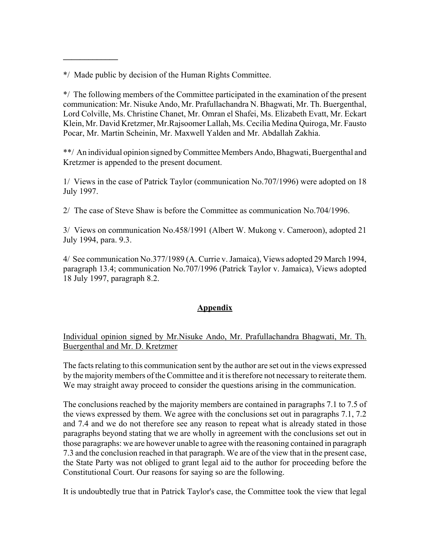\*/ Made public by decision of the Human Rights Committee.

**\_\_\_\_\_\_\_\_\_\_\_\_\_**

\*/ The following members of the Committee participated in the examination of the present communication: Mr. Nisuke Ando, Mr. Prafullachandra N. Bhagwati, Mr. Th. Buergenthal, Lord Colville, Ms. Christine Chanet, Mr. Omran el Shafei, Ms. Elizabeth Evatt, Mr. Eckart Klein, Mr. David Kretzmer, Mr.Rajsoomer Lallah, Ms. Cecilia Medina Quiroga, Mr. Fausto Pocar, Mr. Martin Scheinin, Mr. Maxwell Yalden and Mr. Abdallah Zakhia.

\*\*/ An individual opinion signed by Committee Members Ando, Bhagwati, Buergenthal and Kretzmer is appended to the present document.

1/ Views in the case of Patrick Taylor (communication No.707/1996) were adopted on 18 July 1997.

2/ The case of Steve Shaw is before the Committee as communication No.704/1996.

3/ Views on communication No.458/1991 (Albert W. Mukong v. Cameroon), adopted 21 July 1994, para. 9.3.

4/ See communication No.377/1989 (A. Currie v. Jamaica), Views adopted 29 March 1994, paragraph 13.4; communication No.707/1996 (Patrick Taylor v. Jamaica), Views adopted 18 July 1997, paragraph 8.2.

# **Appendix**

# Individual opinion signed by Mr.Nisuke Ando, Mr. Prafullachandra Bhagwati, Mr. Th. Buergenthal and Mr. D. Kretzmer

The facts relating to this communication sent by the author are set out in the views expressed by the majority members of the Committee and it is therefore not necessary to reiterate them. We may straight away proceed to consider the questions arising in the communication.

The conclusions reached by the majority members are contained in paragraphs 7.1 to 7.5 of the views expressed by them. We agree with the conclusions set out in paragraphs 7.1, 7.2 and 7.4 and we do not therefore see any reason to repeat what is already stated in those paragraphs beyond stating that we are wholly in agreement with the conclusions set out in those paragraphs: we are however unable to agree with the reasoning contained in paragraph 7.3 and the conclusion reached in that paragraph. We are of the view that in the present case, the State Party was not obliged to grant legal aid to the author for proceeding before the Constitutional Court. Our reasons for saying so are the following.

It is undoubtedly true that in Patrick Taylor's case, the Committee took the view that legal